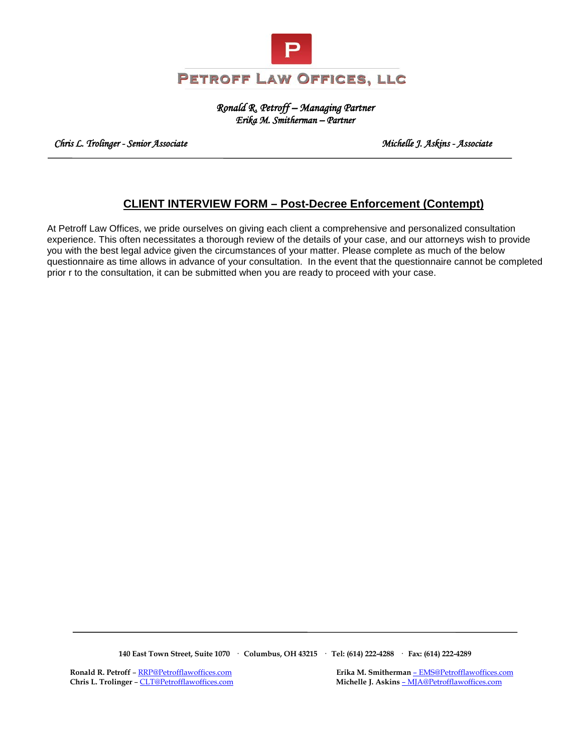

*Ronald R. Petroff – Managing Partner Erika M. Smitherman – Partner* 

 *Chris L. Trolinger - Senior Associate Michelle J. Askins - Associate* 

## **CLIENT INTERVIEW FORM – Post-Decree Enforcement (Contempt)**

At Petroff Law Offices, we pride ourselves on giving each client a comprehensive and personalized consultation experience. This often necessitates a thorough review of the details of your case, and our attorneys wish to provide you with the best legal advice given the circumstances of your matter. Please complete as much of the below questionnaire as time allows in advance of your consultation. In the event that the questionnaire cannot be completed prior r to the consultation, it can be submitted when you are ready to proceed with your case.

**140 East Town Street, Suite 1070 · Columbus, OH 43215 · Tel: (614) 222-4288 · Fax: (614) 222-4289**

 **Ronald R. Petroff** [– RRP@Petrofflawoffices.com](mailto:RRP@Petrofflawoffices.com) **Erika M. Smitherman** [– EMS@Petrofflawoffices.com](mailto:%E2%80%93%20EMS@Petrofflawoffices.com)  **Chris L. Trolinger** [– CLT@Petrofflawoffices.com](mailto:CLT@Petrofflawoffices.com) **Michelle J. Askins** [– MJA@Petrofflawoffices.com](mailto:%E2%80%93%20MJA@Petrofflawoffices.com)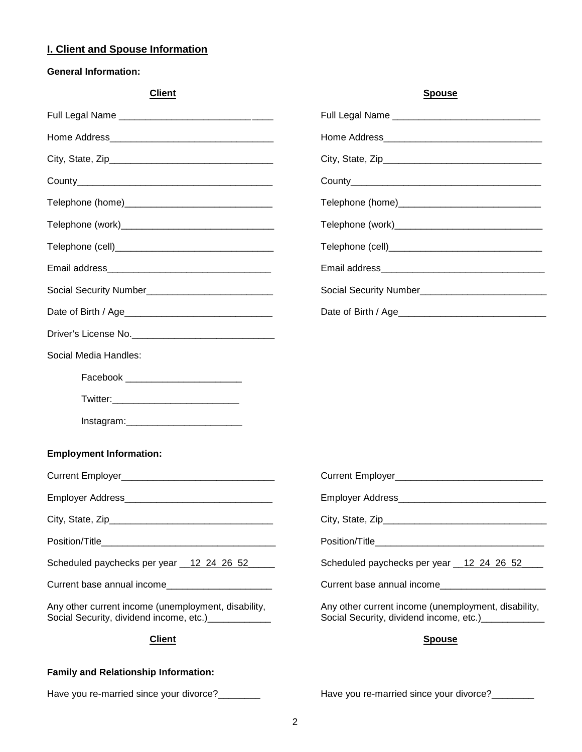## **I. Client and Spouse Information**

## **General Information:**

| <b>Client</b>                                                                                               | <b>Spouse</b>                                                                                        |  |  |  |
|-------------------------------------------------------------------------------------------------------------|------------------------------------------------------------------------------------------------------|--|--|--|
|                                                                                                             |                                                                                                      |  |  |  |
|                                                                                                             |                                                                                                      |  |  |  |
|                                                                                                             |                                                                                                      |  |  |  |
|                                                                                                             |                                                                                                      |  |  |  |
|                                                                                                             |                                                                                                      |  |  |  |
|                                                                                                             |                                                                                                      |  |  |  |
|                                                                                                             |                                                                                                      |  |  |  |
|                                                                                                             |                                                                                                      |  |  |  |
|                                                                                                             |                                                                                                      |  |  |  |
|                                                                                                             |                                                                                                      |  |  |  |
|                                                                                                             |                                                                                                      |  |  |  |
| Social Media Handles:                                                                                       |                                                                                                      |  |  |  |
| Facebook __________________________                                                                         |                                                                                                      |  |  |  |
|                                                                                                             |                                                                                                      |  |  |  |
|                                                                                                             |                                                                                                      |  |  |  |
| <b>Employment Information:</b>                                                                              |                                                                                                      |  |  |  |
|                                                                                                             |                                                                                                      |  |  |  |
|                                                                                                             |                                                                                                      |  |  |  |
|                                                                                                             |                                                                                                      |  |  |  |
|                                                                                                             |                                                                                                      |  |  |  |
| Scheduled paychecks per year 12 24 26 52                                                                    | Scheduled paychecks per year 12 24 26 52                                                             |  |  |  |
| Current base annual income                                                                                  | Current base annual income                                                                           |  |  |  |
| Any other current income (unemployment, disability,<br>Social Security, dividend income, etc.) ____________ | Any other current income (unemployment, disability,<br>Social Security, dividend income, etc.) [100] |  |  |  |
| <b>Client</b>                                                                                               | <b>Spouse</b>                                                                                        |  |  |  |
| <b>Family and Relationship Information:</b>                                                                 |                                                                                                      |  |  |  |

Have you re-married since your divorce?\_\_\_\_\_\_\_\_\_ Have you re-married since your divorce?\_\_\_\_\_\_\_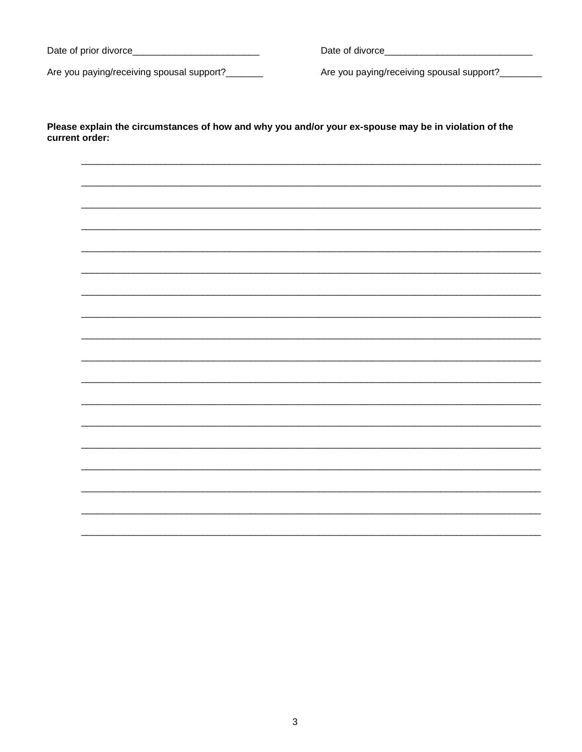Are you paying/receiving spousal support?\_\_\_\_\_\_\_

Are you paying/receiving spousal support?\_\_\_\_\_\_\_

Please explain the circumstances of how and why you and/or your ex-spouse may be in violation of the current order: